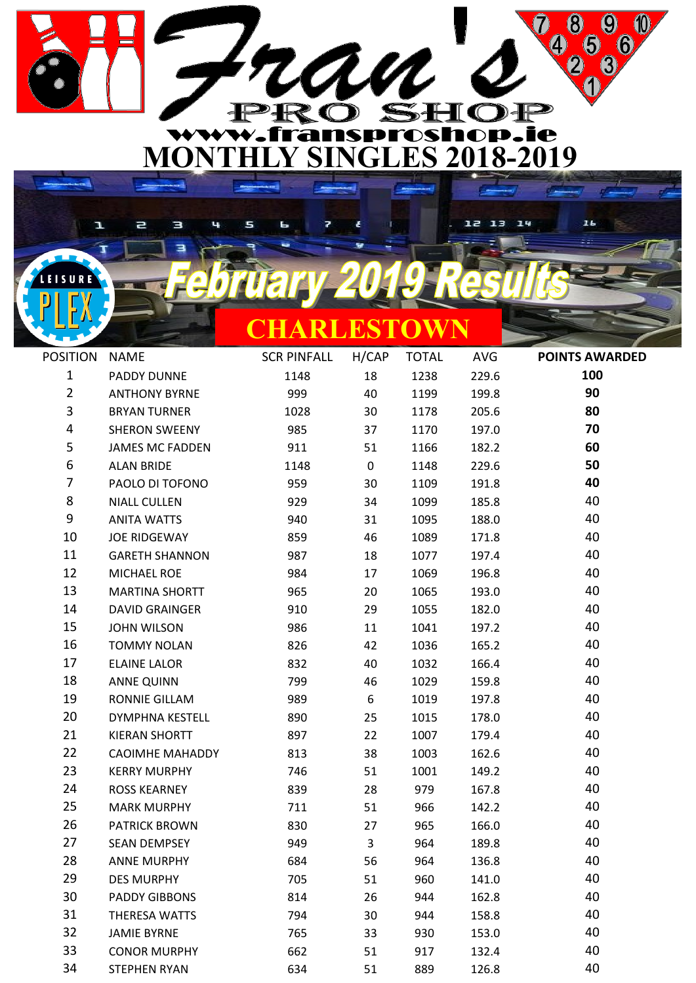

Ł

ч

 $\overline{a}$ 

**EISURE** 

Э

| CHARLESTOWN |  |  |
|-------------|--|--|

| <b>POSITION</b> | <b>NAME</b>            | <b>SCR PINFALL</b> | H/CAP | <b>TOTAL</b> | AVG   | <b>POINTS AWARDED</b> |
|-----------------|------------------------|--------------------|-------|--------------|-------|-----------------------|
| 1               | PADDY DUNNE            | 1148               | 18    | 1238         | 229.6 | 100                   |
| $\overline{2}$  | <b>ANTHONY BYRNE</b>   | 999                | 40    | 1199         | 199.8 | 90                    |
| 3               | <b>BRYAN TURNER</b>    | 1028               | 30    | 1178         | 205.6 | 80                    |
| 4               | <b>SHERON SWEENY</b>   | 985                | 37    | 1170         | 197.0 | 70                    |
| 5               | <b>JAMES MC FADDEN</b> | 911                | 51    | 1166         | 182.2 | 60                    |
| 6               | <b>ALAN BRIDE</b>      | 1148               | 0     | 1148         | 229.6 | 50                    |
| 7               | PAOLO DI TOFONO        | 959                | 30    | 1109         | 191.8 | 40                    |
| 8               | <b>NIALL CULLEN</b>    | 929                | 34    | 1099         | 185.8 | 40                    |
| 9               | <b>ANITA WATTS</b>     | 940                | 31    | 1095         | 188.0 | 40                    |
| 10              | <b>JOE RIDGEWAY</b>    | 859                | 46    | 1089         | 171.8 | 40                    |
| 11              | <b>GARETH SHANNON</b>  | 987                | 18    | 1077         | 197.4 | 40                    |
| 12              | MICHAEL ROE            | 984                | 17    | 1069         | 196.8 | 40                    |
| 13              | <b>MARTINA SHORTT</b>  | 965                | 20    | 1065         | 193.0 | 40                    |
| 14              | <b>DAVID GRAINGER</b>  | 910                | 29    | 1055         | 182.0 | 40                    |
| 15              | <b>JOHN WILSON</b>     | 986                | 11    | 1041         | 197.2 | 40                    |
| 16              | <b>TOMMY NOLAN</b>     | 826                | 42    | 1036         | 165.2 | 40                    |
| 17              | <b>ELAINE LALOR</b>    | 832                | 40    | 1032         | 166.4 | 40                    |
| 18              | <b>ANNE QUINN</b>      | 799                | 46    | 1029         | 159.8 | 40                    |
| 19              | RONNIE GILLAM          | 989                | 6     | 1019         | 197.8 | 40                    |
| 20              | <b>DYMPHNA KESTELL</b> | 890                | 25    | 1015         | 178.0 | 40                    |
| 21              | <b>KIERAN SHORTT</b>   | 897                | 22    | 1007         | 179.4 | 40                    |
| 22              | <b>CAOIMHE MAHADDY</b> | 813                | 38    | 1003         | 162.6 | 40                    |
| 23              | <b>KERRY MURPHY</b>    | 746                | 51    | 1001         | 149.2 | 40                    |
| 24              | <b>ROSS KEARNEY</b>    | 839                | 28    | 979          | 167.8 | 40                    |
| 25              | <b>MARK MURPHY</b>     | 711                | 51    | 966          | 142.2 | 40                    |
| 26              | <b>PATRICK BROWN</b>   | 830                | 27    | 965          | 166.0 | 40                    |
| 27              | <b>SEAN DEMPSEY</b>    | 949                | 3     | 964          | 189.8 | 40                    |
| 28              | <b>ANNE MURPHY</b>     | 684                | 56    | 964          | 136.8 | 40                    |
| 29              | <b>DES MURPHY</b>      | 705                | 51    | 960          | 141.0 | 40                    |
| 30              | <b>PADDY GIBBONS</b>   | 814                | 26    | 944          | 162.8 | 40                    |
| 31              | THERESA WATTS          | 794                | 30    | 944          | 158.8 | 40                    |
| 32              | <b>JAMIE BYRNE</b>     | 765                | 33    | 930          | 153.0 | 40                    |
| 33              | <b>CONOR MURPHY</b>    | 662                | 51    | 917          | 132.4 | 40                    |
| 34              | <b>STEPHEN RYAN</b>    | 634                | 51    | 889          | 126.8 | 40                    |